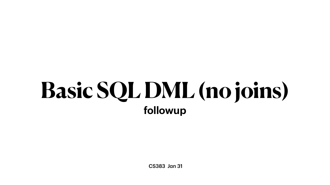CS383 Jan 31

# **Basic SQL DML (no joins) followup**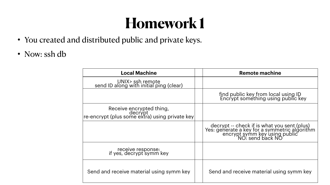# **Homework 1**

- You created and distributed public and private keys.
- Now: ssh db

### **Local Machine**

| <b>Local Machine</b>                                                                   | <b>Remote machine</b>                                                                                                                             |
|----------------------------------------------------------------------------------------|---------------------------------------------------------------------------------------------------------------------------------------------------|
| UNIX> ssh remote<br>send ID along with initial ping (clear)                            |                                                                                                                                                   |
|                                                                                        | find public key from local using ID<br>Encrypt something using public key                                                                         |
| Receive encrypted thing,<br> decrypt<br> e-encrypt (plus some extra) using private key |                                                                                                                                                   |
|                                                                                        | decrypt -- check if is what you sent (plus)<br>Yes: generate a key for a symmetric algorithm<br>encrypt symm key using public<br>NO: send back NO |
| receive response:<br>if yes, decrypt symm key                                          |                                                                                                                                                   |
| Send and receive material using symm key                                               | Send and receive material using symm key                                                                                                          |

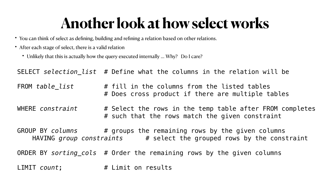# **Another look at how select works**

- You can think of select as defining, building and refining a relation based on other relations.
- After each stage of select, there is a valid relation
	- Unlikely that this is actually how the query executed internally ... Why? Do I care?

SELECT *selection\_list* # Define what the columns in the relation will be FROM *table list*  $\#$  fill in the columns from the listed tables # Does cross product if there are multiple tables WHERE *constraint* # Select the rows in the temp table after FROM completes # such that the rows match the given constraint GROUP BY *columns* # groups the remaining rows by the given columns HAVING *group constraints* # select the grouped rows by the constraint ORDER BY *sorting\_cols* # Order the remaining rows by the given columns LIMIT *count*; # Limit on results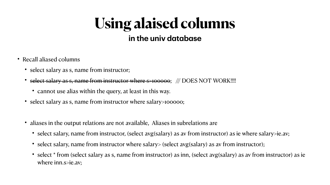# **Using alaised columns** in the univ database

- Recall aliased columns
	- select salary as s, name from instructor;
	- select salary as s, name from instructor where s>100000; /// DOES NOT WORK!!!!
		- cannot use alias within the query, at least in this way.
	- select salary as s, name from instructor where salary>100000;
	- aliases in the output relations are not available, Aliases in subrelations are
		-
		- select salary, name from instructor where salary> (select avg(salary) as av from instructor);
		- where inn.s>ie.av;

• select salary, name from instructor, (select avg(salary) as av from instructor) as ie where salary>ie.av;

• select \* from (select salary as s, name from instructor) as inn, (select avg(salary) as av from instructor) as ie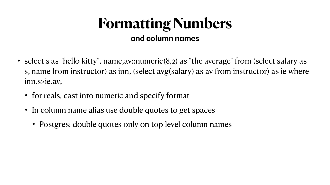## **Formatting Numbers and column names**

- select s as "hello kitty", name,av::numeric(8,2) as "the average" from (select salary as s, name from instructor) as inn, (select avg(salary) as av from instructor) as ie where inn.s>ie.av;
	- for reals, cast into numeric and specify format
	- In column name alias use double quotes to get spaces
		- Postgres: double quotes only on top level column names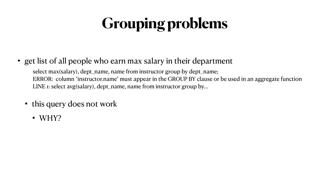# **Grouping problems**

### • get list of all people who earn max salary in their department

select max(salary), dept\_name, name from instructor group by dept\_name; ERROR: column "instructor.name" must appear in the GROUP BY clause or be used in an aggregate function LINE 1: select avg(salary), dept\_name, name from instructor group by...

- this query does not work
	- WHY?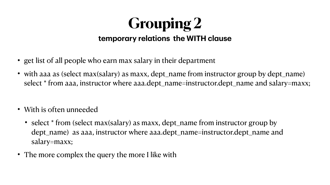### **Grouping 2 temporary relations the WITH clause**

- get list of all people who earn max salary in their department
- with aaa as (select max(salary) as maxx, dept\_name from instructor group by dept\_name) select \* from aaa, instructor where aaa.dept\_name=instructor.dept\_name and salary=maxx;
- With is often unneeded
	- select \* from (select max(salary) as maxx, dept\_name from instructor group by dept\_name) as aaa, instructor where aaa.dept\_name=instructor.dept\_name and salary=maxx;
- The more complex the query the more I like with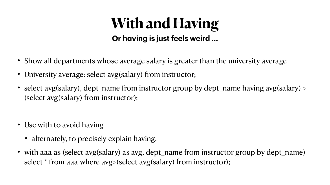- Show all departments whose average salary is greater than the university average • University average: select avg(salary) from instructor;
- 
- select avg(salary), dept\_name from instructor group by dept\_name having avg(salary) > (select avg(salary) from instructor);
- Use with to avoid having
	- alternately, to precisely explain having.
- with aaa as (select avg(salary) as avg, dept\_name from instructor group by dept\_name) select \* from aaa where avg>(select avg(salary) from instructor);

## **With and Having Or having is just feels weird ...**